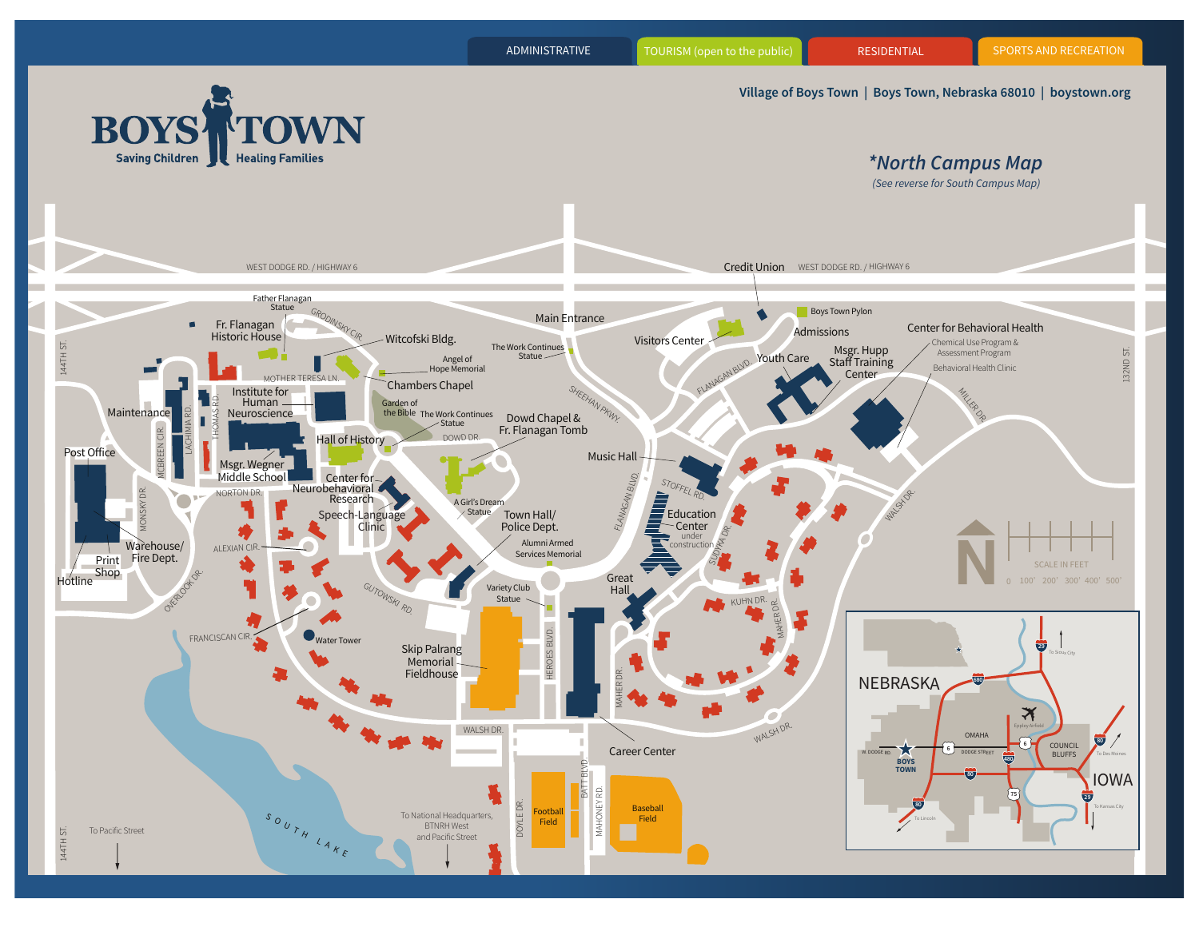